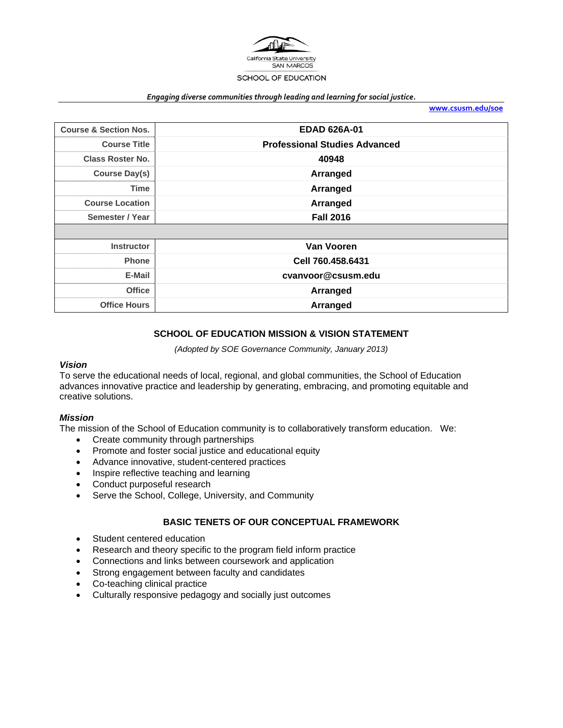

#### *Engaging diverse communities through leading and learning for social justice.*

**www.csusm.edu/soe**

| <b>Course &amp; Section Nos.</b> | <b>EDAD 626A-01</b>                  |  |  |  |
|----------------------------------|--------------------------------------|--|--|--|
| <b>Course Title</b>              | <b>Professional Studies Advanced</b> |  |  |  |
| <b>Class Roster No.</b>          | 40948                                |  |  |  |
| <b>Course Day(s)</b>             | Arranged                             |  |  |  |
| <b>Time</b>                      | Arranged                             |  |  |  |
| <b>Course Location</b>           | Arranged                             |  |  |  |
| Semester / Year                  | <b>Fall 2016</b>                     |  |  |  |
|                                  |                                      |  |  |  |
| <b>Instructor</b>                | <b>Van Vooren</b>                    |  |  |  |
| <b>Phone</b>                     | Cell 760.458.6431                    |  |  |  |
| E-Mail                           | cvanvoor@csusm.edu                   |  |  |  |
| <b>Office</b>                    | Arranged                             |  |  |  |
| <b>Office Hours</b>              | Arranged                             |  |  |  |

# **SCHOOL OF EDUCATION MISSION & VISION STATEMENT**

*(Adopted by SOE Governance Community, January 2013)* 

#### *Vision*

To serve the educational needs of local, regional, and global communities, the School of Education advances innovative practice and leadership by generating, embracing, and promoting equitable and creative solutions.

#### *Mission*

The mission of the School of Education community is to collaboratively transform education. We:

- Create community through partnerships
- Promote and foster social justice and educational equity
- Advance innovative, student-centered practices
- Inspire reflective teaching and learning
- Conduct purposeful research
- Serve the School, College, University, and Community

### **BASIC TENETS OF OUR CONCEPTUAL FRAMEWORK**

- Student centered education
- Research and theory specific to the program field inform practice
- Connections and links between coursework and application
- Strong engagement between faculty and candidates
- Co-teaching clinical practice
- Culturally responsive pedagogy and socially just outcomes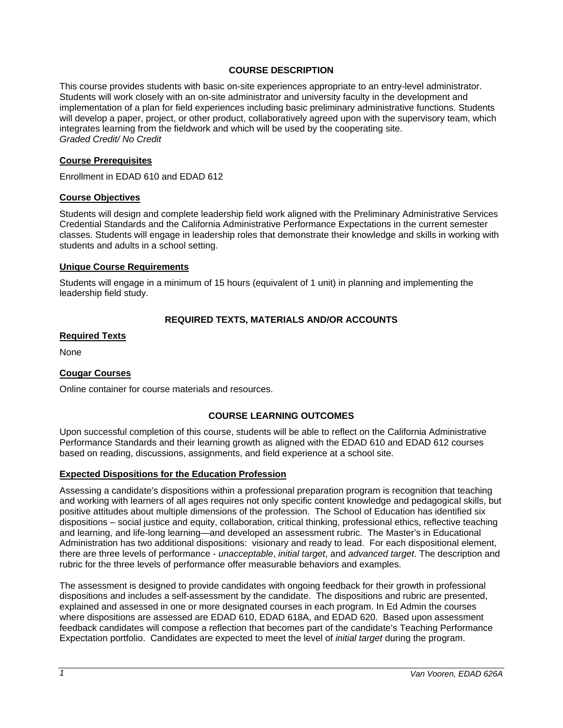## **COURSE DESCRIPTION**

This course provides students with basic on-site experiences appropriate to an entry-level administrator. Students will work closely with an on-site administrator and university faculty in the development and implementation of a plan for field experiences including basic preliminary administrative functions. Students will develop a paper, project, or other product, collaboratively agreed upon with the supervisory team, which integrates learning from the fieldwork and which will be used by the cooperating site. *Graded Credit/ No Credit* 

#### **Course Prerequisites**

Enrollment in EDAD 610 and EDAD 612

#### **Course Objectives**

Students will design and complete leadership field work aligned with the Preliminary Administrative Services Credential Standards and the California Administrative Performance Expectations in the current semester classes. Students will engage in leadership roles that demonstrate their knowledge and skills in working with students and adults in a school setting.

#### **Unique Course Requirements**

Students will engage in a minimum of 15 hours (equivalent of 1 unit) in planning and implementing the leadership field study.

## **REQUIRED TEXTS, MATERIALS AND/OR ACCOUNTS**

### **Required Texts**

None

## **Cougar Courses**

Online container for course materials and resources.

## **COURSE LEARNING OUTCOMES**

Upon successful completion of this course, students will be able to reflect on the California Administrative Performance Standards and their learning growth as aligned with the EDAD 610 and EDAD 612 courses based on reading, discussions, assignments, and field experience at a school site.

## **Expected Dispositions for the Education Profession**

Assessing a candidate's dispositions within a professional preparation program is recognition that teaching and working with learners of all ages requires not only specific content knowledge and pedagogical skills, but positive attitudes about multiple dimensions of the profession. The School of Education has identified six dispositions – social justice and equity, collaboration, critical thinking, professional ethics, reflective teaching and learning, and life-long learning—and developed an assessment rubric. The Master's in Educational Administration has two additional dispositions: visionary and ready to lead. For each dispositional element, there are three levels of performance - *unacceptable*, *initial target*, and *advanced target*. The description and rubric for the three levels of performance offer measurable behaviors and examples.

The assessment is designed to provide candidates with ongoing feedback for their growth in professional dispositions and includes a self-assessment by the candidate. The dispositions and rubric are presented, explained and assessed in one or more designated courses in each program. In Ed Admin the courses where dispositions are assessed are EDAD 610, EDAD 618A, and EDAD 620. Based upon assessment feedback candidates will compose a reflection that becomes part of the candidate's Teaching Performance Expectation portfolio. Candidates are expected to meet the level of *initial target* during the program.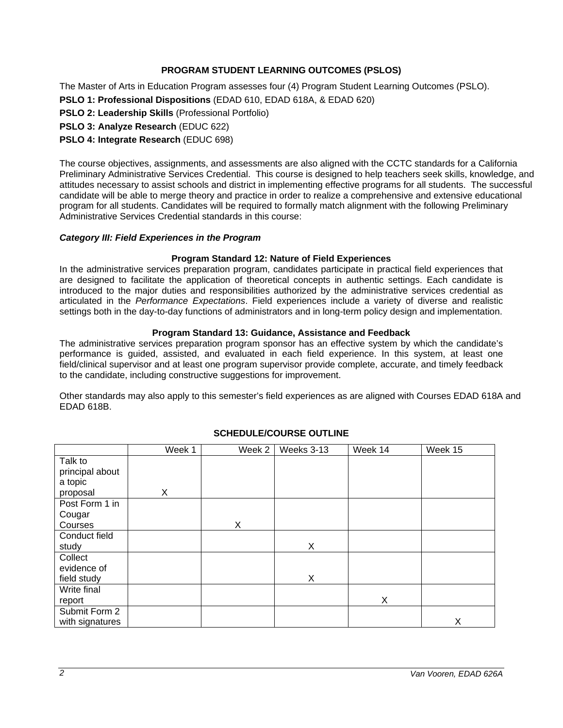# **PROGRAM STUDENT LEARNING OUTCOMES (PSLOS)**

The Master of Arts in Education Program assesses four (4) Program Student Learning Outcomes (PSLO). **PSLO 1: Professional Dispositions** (EDAD 610, EDAD 618A, & EDAD 620)

**PSLO 2: Leadership Skills** (Professional Portfolio)

**PSLO 3: Analyze Research** (EDUC 622)

**PSLO 4: Integrate Research** (EDUC 698)

The course objectives, assignments, and assessments are also aligned with the CCTC standards for a California Preliminary Administrative Services Credential. This course is designed to help teachers seek skills, knowledge, and attitudes necessary to assist schools and district in implementing effective programs for all students. The successful candidate will be able to merge theory and practice in order to realize a comprehensive and extensive educational program for all students. Candidates will be required to formally match alignment with the following Preliminary Administrative Services Credential standards in this course:

### *Category III: Field Experiences in the Program*

### **Program Standard 12: Nature of Field Experiences**

In the administrative services preparation program, candidates participate in practical field experiences that are designed to facilitate the application of theoretical concepts in authentic settings. Each candidate is introduced to the major duties and responsibilities authorized by the administrative services credential as articulated in the *Performance Expectations*. Field experiences include a variety of diverse and realistic settings both in the day-to-day functions of administrators and in long-term policy design and implementation.

### **Program Standard 13: Guidance, Assistance and Feedback**

The administrative services preparation program sponsor has an effective system by which the candidate's performance is guided, assisted, and evaluated in each field experience. In this system, at least one field/clinical supervisor and at least one program supervisor provide complete, accurate, and timely feedback to the candidate, including constructive suggestions for improvement.

Other standards may also apply to this semester's field experiences as are aligned with Courses EDAD 618A and EDAD 618B.

|                 | Week 1 | Week 2 | Weeks 3-13 | Week 14 | Week 15 |
|-----------------|--------|--------|------------|---------|---------|
| Talk to         |        |        |            |         |         |
| principal about |        |        |            |         |         |
| a topic         |        |        |            |         |         |
| proposal        | X      |        |            |         |         |
| Post Form 1 in  |        |        |            |         |         |
| Cougar          |        |        |            |         |         |
| Courses         |        | X      |            |         |         |
| Conduct field   |        |        |            |         |         |
| study           |        |        | X          |         |         |
| Collect         |        |        |            |         |         |
| evidence of     |        |        |            |         |         |
| field study     |        |        | X          |         |         |
| Write final     |        |        |            |         |         |
| report          |        |        |            | Χ       |         |
| Submit Form 2   |        |        |            |         |         |
| with signatures |        |        |            |         | X       |

## **SCHEDULE/COURSE OUTLINE**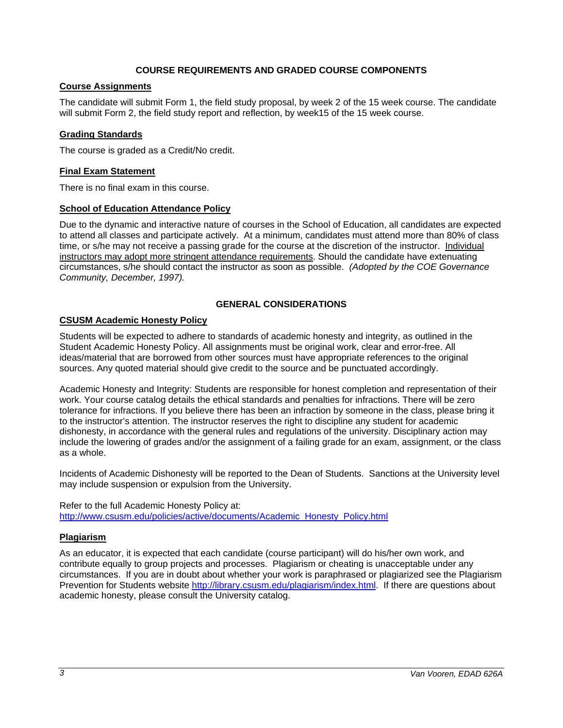## **COURSE REQUIREMENTS AND GRADED COURSE COMPONENTS**

# **Course Assignments**

The candidate will submit Form 1, the field study proposal, by week 2 of the 15 week course. The candidate will submit Form 2, the field study report and reflection, by week15 of the 15 week course.

## **Grading Standards**

The course is graded as a Credit/No credit.

## **Final Exam Statement**

There is no final exam in this course.

## **School of Education Attendance Policy**

Due to the dynamic and interactive nature of courses in the School of Education, all candidates are expected to attend all classes and participate actively. At a minimum, candidates must attend more than 80% of class time, or s/he may not receive a passing grade for the course at the discretion of the instructor. Individual instructors may adopt more stringent attendance requirements. Should the candidate have extenuating circumstances, s/he should contact the instructor as soon as possible. *(Adopted by the COE Governance Community, December, 1997).*

# **GENERAL CONSIDERATIONS**

## **CSUSM Academic Honesty Policy**

Students will be expected to adhere to standards of academic honesty and integrity, as outlined in the Student Academic Honesty Policy. All assignments must be original work, clear and error-free. All ideas/material that are borrowed from other sources must have appropriate references to the original sources. Any quoted material should give credit to the source and be punctuated accordingly.

Academic Honesty and Integrity: Students are responsible for honest completion and representation of their work. Your course catalog details the ethical standards and penalties for infractions. There will be zero tolerance for infractions. If you believe there has been an infraction by someone in the class, please bring it to the instructor's attention. The instructor reserves the right to discipline any student for academic dishonesty, in accordance with the general rules and regulations of the university. Disciplinary action may include the lowering of grades and/or the assignment of a failing grade for an exam, assignment, or the class as a whole.

Incidents of Academic Dishonesty will be reported to the Dean of Students. Sanctions at the University level may include suspension or expulsion from the University.

Refer to the full Academic Honesty Policy at: http://www.csusm.edu/policies/active/documents/Academic\_Honesty\_Policy.html

## **Plagiarism**

As an educator, it is expected that each candidate (course participant) will do his/her own work, and contribute equally to group projects and processes. Plagiarism or cheating is unacceptable under any circumstances. If you are in doubt about whether your work is paraphrased or plagiarized see the Plagiarism Prevention for Students website http://library.csusm.edu/plagiarism/index.html. If there are questions about academic honesty, please consult the University catalog.